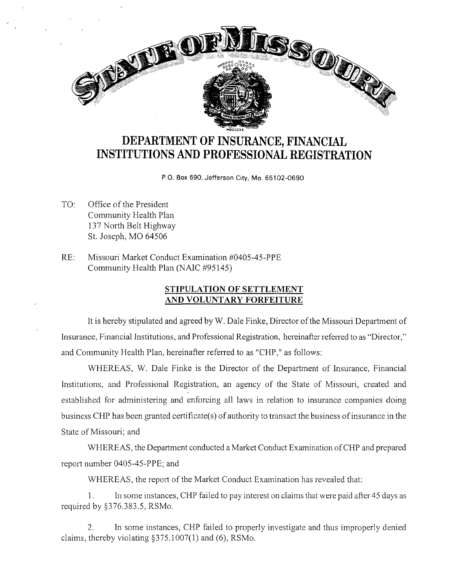

## **DEPARTMENT OF INSURANCE, FINANCIAL INSTITUTIONS AND PROFESSIONAL REGISTRATION**

P.O. Box 690, Jefferson City, Mo. 65102-0690

- TO: Office of the President Community Health Plan 137 North Belt Highway St. Joseph, MO 64506
- RE: Missouri Market Conduct Examination #0405-45-PPE Community Health Plan (NAIC #95145)

## **STIPULATION OF SETTLEMENT AND VOLUNTARY FORFEITURE**

It is hereby stipulated and agreed by W. Dale Finke, Director of the Missouri Department of Insurance, Financial Institutions, and Professional Registration, hereinafter referred to as "Director," and Community Health Plan, hereinafter referred to as "CHP," as follows:

WHEREAS, W. Dale Finke is the Director of the Department of Insurance, Financial Institutions, and Professional Registration, an agency of the State of Missouri, created and established for administering and enforcing all laws in relation to insurance companies doing business CHP has been granted certificate( s) of authority to transact the business of insurance in the State of Missouri; and

WHEREAS, the Department conducted a Market Conduct Examination of CHP and prepared report number 0405-45-PPE; and

WHEREAS, the report of the Market Conduct Examination has revealed that:

I. In some instances, CHP failed to pay interest on claims that were paid after 45 days as required by §376.383.5, RSMo.

2. In some instances, CHP failed to properly investigate and thus improperly denied claims, thereby violating §375.1007(1) and (6), RSMo.